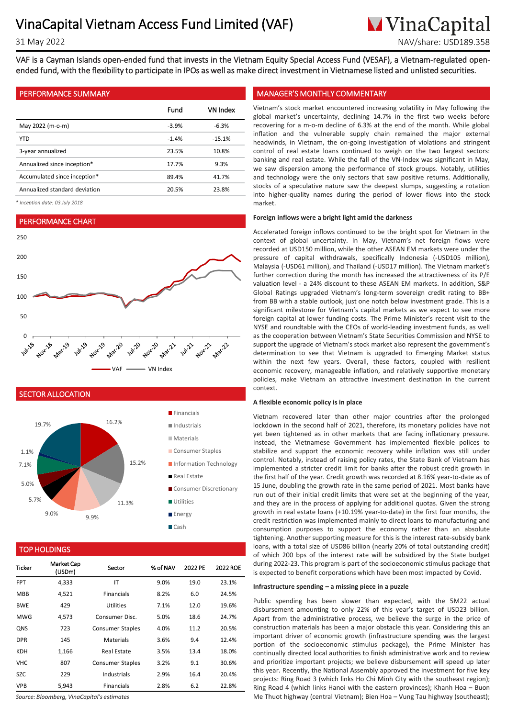**M**VinaCapital 31 May 2022 NAV/share: USD189.358

VAF is a Cayman Islands open-ended fund that invests in the Vietnam Equity Special Access Fund (VESAF), a Vietnam-regulated openended fund, with the flexibility to participate in IPOs as well as make direct investment in Vietnamese listed and unlisted securities.

|                               | Fund    | VN Index |
|-------------------------------|---------|----------|
| May 2022 (m-o-m)              | $-3.9%$ | $-6.3%$  |
| <b>YTD</b>                    | $-1.4%$ | $-15.1%$ |
| 3-year annualized             | 23.5%   | 10.8%    |
| Annualized since inception*   | 17.7%   | 9.3%     |
| Accumulated since inception*  | 89.4%   | 41.7%    |
| Annualized standard deviation | 20.5%   | 23.8%    |

*\* Inception date: 03 July 2018*

# PERFORMANCE CHART



SECTOR ALLOCATION



## TOP HOLDINGS

| Ticker     | <b>Market Cap</b><br>(USDm) | Sector                  | % of NAV | 2022 PE | 2022 ROE |
|------------|-----------------------------|-------------------------|----------|---------|----------|
| <b>FPT</b> | 4,333                       | IT                      | 9.0%     | 19.0    | 23.1%    |
| <b>MBB</b> | 4,521                       | <b>Financials</b>       | 8.2%     | 6.0     | 24.5%    |
| <b>BWE</b> | 429                         | Utilities               | 7.1%     | 12.0    | 19.6%    |
| MWG        | 4,573                       | Consumer Disc.          | 5.0%     | 18.6    | 24.7%    |
| <b>QNS</b> | 723                         | <b>Consumer Staples</b> | 4.0%     | 11.2    | 20.5%    |
| <b>DPR</b> | 145                         | <b>Materials</b>        | 3.6%     | 9.4     | 12.4%    |
| KDH        | 1,166                       | Real Estate             | 3.5%     | 13.4    | 18.0%    |
| VHC        | 807                         | <b>Consumer Staples</b> | 3.2%     | 9.1     | 30.6%    |
| SZC.       | 229                         | Industrials             | 2.9%     | 16.4    | 20.4%    |
| <b>VPB</b> | 5.943                       | <b>Financials</b>       | 2.8%     | 6.2     | 22.8%    |

*Source: Bloomberg, VinaCapital's estimates*

## PERFORMANCE SUMMARY MANAGER'S MONTHLY COMMENTARY

. global market's uncertainty, declining 14.7% in the first two weeks before Vietnam's stock market encountered increasing volatility in May following the recovering for a m-o-m decline of 6.3% at the end of the month. While global inflation and the vulnerable supply chain remained the major external headwinds, in Vietnam, the on-going investigation of violations and stringent control of real estate loans continued to weigh on the two largest sectors: banking and real estate. While the fall of the VN-Index was significant in May, we saw dispersion among the performance of stock groups. Notably, utilities and technology were the only sectors that saw positive returns. Additionally, stocks of a speculative nature saw the deepest slumps, suggesting a rotation into higher-quality names during the period of lower flows into the stock market.

## **Foreign inflows were a bright light amid the darkness**

Accelerated foreign inflows continued to be the bright spot for Vietnam in the context of global uncertainty. In May, Vietnam's net foreign flows were recorded at USD150 million, while the other ASEAN EM markets were under the pressure of capital withdrawals, specifically Indonesia (-USD105 million), Malaysia (-USD61 million), and Thailand (-USD17 million). The Vietnam market's further correction during the month has increased the attractiveness of its P/E valuation level - a 24% discount to these ASEAN EM markets. In addition, S&P Global Ratings upgraded Vietnam's long-term sovereign credit rating to BB+ from BB with a stable outlook, just one notch below investment grade. This is a significant milestone for Vietnam's capital markets as we expect to see more foreign capital at lower funding costs. The Prime Minister's recent visit to the NYSE and roundtable with the CEOs of world-leading investment funds, as well as the cooperation between Vietnam's State Securities Commission and NYSE to support the upgrade of Vietnam's stock market also represent the government's determination to see that Vietnam is upgraded to Emerging Market status within the next few years. Overall, these factors, coupled with resilient economic recovery, manageable inflation, and relatively supportive monetary policies, make Vietnam an attractive investment destination in the current context.

#### **A flexible economic policy is in place**

Vietnam recovered later than other major countries after the prolonged lockdown in the second half of 2021, therefore, its monetary policies have not yet been tightened as in other markets that are facing inflationary pressure. Instead, the Vietnamese Government has implemented flexible polices to stabilize and support the economic recovery while inflation was still under control. Notably, instead of raising policy rates, the State Bank of Vietnam has implemented a stricter credit limit for banks after the robust credit growth in the first half of the year. Credit growth was recorded at 8.16% year-to-date as of 15 June, doubling the growth rate in the same period of 2021. Most banks have run out of their initial credit limits that were set at the beginning of the year, and they are in the process of applying for additional quotas. Given the strong growth in real estate loans (+10.19% year-to-date) in the first four months, the credit restriction was implemented mainly to direct loans to manufacturing and consumption purposes to support the economy rather than an absolute tightening. Another supporting measure for this is the interest rate-subsidy bank loans, with a total size of USD86 billion (nearly 20% of total outstanding credit) of which 200 bps of the interest rate will be subsidized by the State budget during 2022-23. This program is part of the socioeconomic stimulus package that is expected to benefit corporations which have been most impacted by Covid.

## **Infrastructure spending – a missing piece in a puzzle**

Public spending has been slower than expected, with the 5M22 actual disbursement amounting to only 22% of this year's target of USD23 billion. Apart from the administrative process, we believe the surge in the price of construction materials has been a major obstacle this year. Considering this an important driver of economic growth (infrastructure spending was the largest portion of the socioeconomic stimulus package), the Prime Minister has continually directed local authorities to finish administrative work and to review and prioritize important projects; we believe disbursement will speed up later this year. Recently, the National Assembly approved the investment for five key projects: Ring Road 3 (which links Ho Chi Minh City with the southeast region); Ring Road 4 (which links Hanoi with the eastern provinces); Khanh Hoa – Buon Me Thuot highway (central Vietnam); Bien Hoa – Vung Tau highway (southeast);